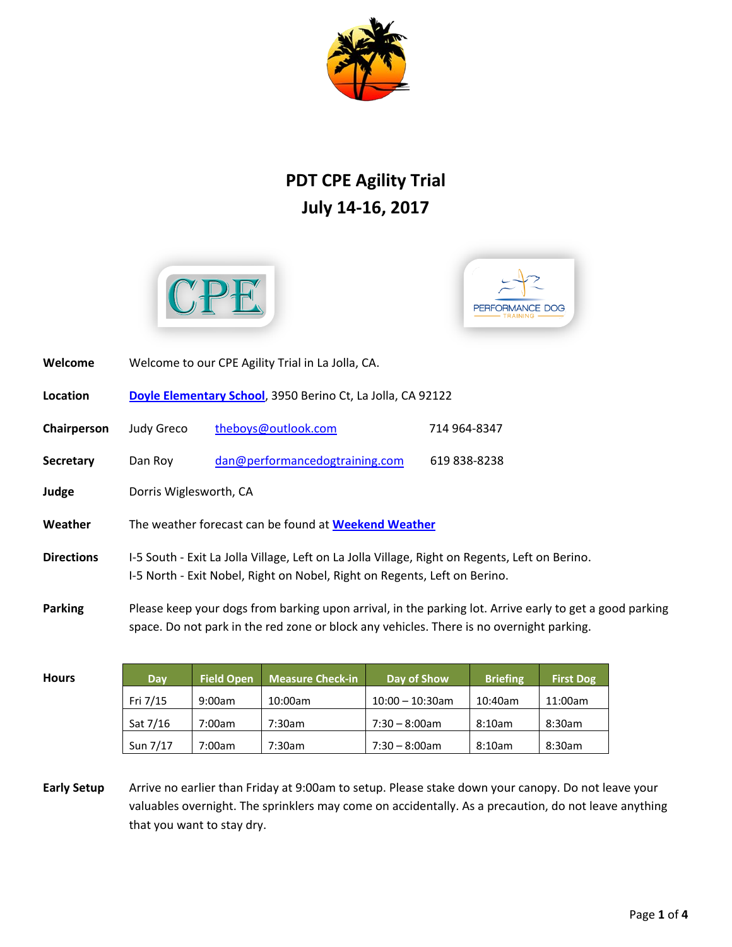

## **PDT CPE Agility Trial July 14-16, 2017**





| Welcome           | Welcome to our CPE Agility Trial in La Jolla, CA.                                                                                                                                                   |                                |              |  |  |
|-------------------|-----------------------------------------------------------------------------------------------------------------------------------------------------------------------------------------------------|--------------------------------|--------------|--|--|
| Location          | Doyle Elementary School, 3950 Berino Ct, La Jolla, CA 92122                                                                                                                                         |                                |              |  |  |
| Chairperson       | Judy Greco                                                                                                                                                                                          | theboys@outlook.com            | 714 964-8347 |  |  |
| <b>Secretary</b>  | Dan Roy                                                                                                                                                                                             | dan@performancedogtraining.com | 619 838-8238 |  |  |
| Judge             | Dorris Wiglesworth, CA                                                                                                                                                                              |                                |              |  |  |
| Weather           | The weather forecast can be found at Weekend Weather                                                                                                                                                |                                |              |  |  |
| <b>Directions</b> | I-5 South - Exit La Jolla Village, Left on La Jolla Village, Right on Regents, Left on Berino.<br>I-5 North - Exit Nobel, Right on Nobel, Right on Regents, Left on Berino.                         |                                |              |  |  |
| <b>Parking</b>    | Please keep your dogs from barking upon arrival, in the parking lot. Arrive early to get a good parking<br>space. Do not park in the red zone or block any vehicles. There is no overnight parking. |                                |              |  |  |

| <b>Hours</b> | Dav      | <b>Field Open</b> | Measure Check-in | Day of Show        | <b>Briefing</b> | <b>First Dog</b> |
|--------------|----------|-------------------|------------------|--------------------|-----------------|------------------|
|              | Fri 7/15 | 9:00am            | 10:00am          | $10:00 - 10:30$ am | 10:40am         | 11:00am          |
|              | Sat 7/16 | 7:00am            | 7:30am           | $7:30 - 8:00$ am   | 8:10am          | 8:30am           |
|              | Sun 7/17 | 7:00am            | 7:30am           | $7:30 - 8:00$ am   | 8:10am          | 8:30am           |

**Early Setup** Arrive no earlier than Friday at 9:00am to setup. Please stake down your canopy. Do not leave your valuables overnight. The sprinklers may come on accidentally. As a precaution, do not leave anything that you want to stay dry.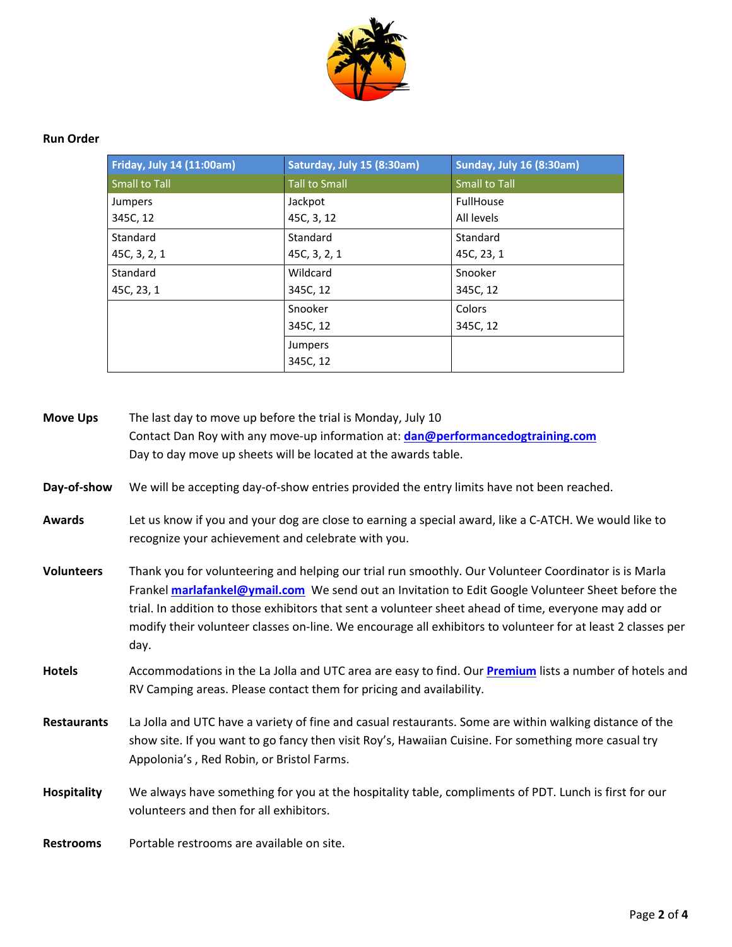

## **Run Order**

| Friday, July 14 (11:00am) | Saturday, July 15 (8:30am) | <b>Sunday, July 16 (8:30am)</b> |
|---------------------------|----------------------------|---------------------------------|
| Small to Tall             | <b>Tall to Small</b>       | <b>Small to Tall</b>            |
| Jumpers                   | Jackpot                    | FullHouse                       |
| 345C, 12                  | 45C, 3, 12                 | All levels                      |
| Standard                  | Standard                   | Standard                        |
| 45C, 3, 2, 1              | 45C, 3, 2, 1               | 45C, 23, 1                      |
| Standard                  | Wildcard                   | Snooker                         |
| 45C, 23, 1                | 345C, 12                   | 345C, 12                        |
|                           | Snooker                    | Colors                          |
|                           | 345C, 12                   | 345C, 12                        |
|                           | Jumpers                    |                                 |
|                           | 345C, 12                   |                                 |

| <b>Move Ups</b>    | The last day to move up before the trial is Monday, July 10                                                                                                                                                                                                                                                                                                                                                                                      |  |  |  |  |
|--------------------|--------------------------------------------------------------------------------------------------------------------------------------------------------------------------------------------------------------------------------------------------------------------------------------------------------------------------------------------------------------------------------------------------------------------------------------------------|--|--|--|--|
|                    | Contact Dan Roy with any move-up information at: dan@performancedogtraining.com                                                                                                                                                                                                                                                                                                                                                                  |  |  |  |  |
|                    | Day to day move up sheets will be located at the awards table.                                                                                                                                                                                                                                                                                                                                                                                   |  |  |  |  |
| Day-of-show        | We will be accepting day-of-show entries provided the entry limits have not been reached.                                                                                                                                                                                                                                                                                                                                                        |  |  |  |  |
| <b>Awards</b>      | Let us know if you and your dog are close to earning a special award, like a C-ATCH. We would like to<br>recognize your achievement and celebrate with you.                                                                                                                                                                                                                                                                                      |  |  |  |  |
| <b>Volunteers</b>  | Thank you for volunteering and helping our trial run smoothly. Our Volunteer Coordinator is is Marla<br>Frankel <b>marlafankel@ymail.com</b> We send out an Invitation to Edit Google Volunteer Sheet before the<br>trial. In addition to those exhibitors that sent a volunteer sheet ahead of time, everyone may add or<br>modify their volunteer classes on-line. We encourage all exhibitors to volunteer for at least 2 classes per<br>day. |  |  |  |  |
| <b>Hotels</b>      | Accommodations in the La Jolla and UTC area are easy to find. Our <b>Premium</b> lists a number of hotels and<br>RV Camping areas. Please contact them for pricing and availability.                                                                                                                                                                                                                                                             |  |  |  |  |
| <b>Restaurants</b> | La Jolla and UTC have a variety of fine and casual restaurants. Some are within walking distance of the<br>show site. If you want to go fancy then visit Roy's, Hawaiian Cuisine. For something more casual try<br>Appolonia's, Red Robin, or Bristol Farms.                                                                                                                                                                                     |  |  |  |  |
| <b>Hospitality</b> | We always have something for you at the hospitality table, compliments of PDT. Lunch is first for our<br>volunteers and then for all exhibitors.                                                                                                                                                                                                                                                                                                 |  |  |  |  |
| <b>Restrooms</b>   | Portable restrooms are available on site.                                                                                                                                                                                                                                                                                                                                                                                                        |  |  |  |  |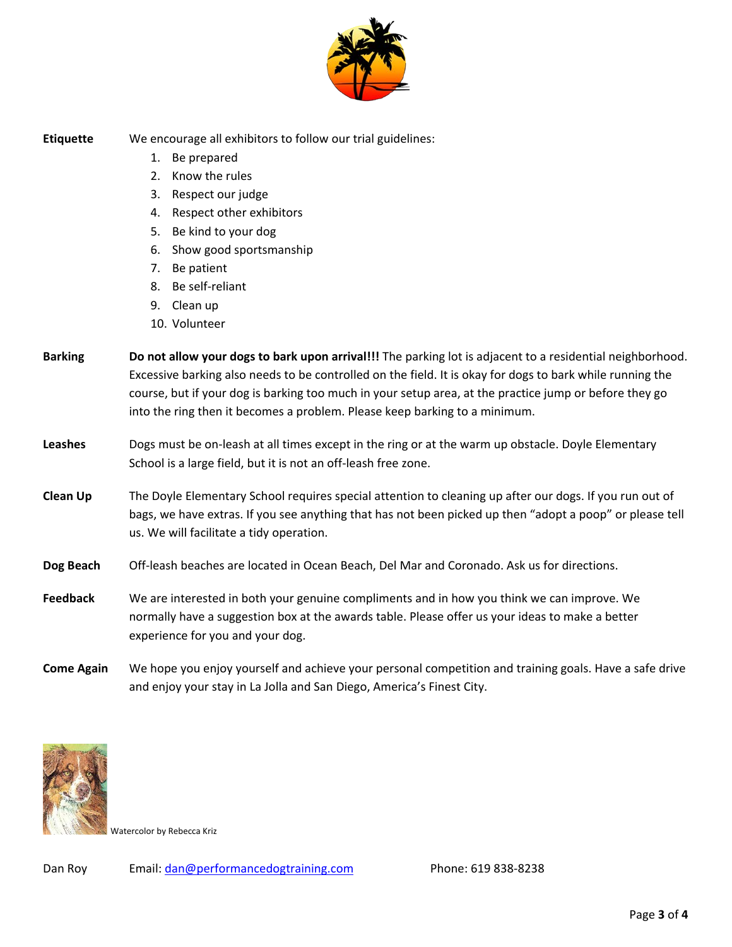

**Etiquette** We encourage all exhibitors to follow our trial guidelines:

- 1. Be prepared
- 2. Know the rules
- 3. Respect our judge
- 4. Respect other exhibitors
- 5. Be kind to your dog
- 6. Show good sportsmanship
- 7. Be patient
- 8. Be self-reliant
- 9. Clean up
- 10. Volunteer
- **Barking Do not allow your dogs to bark upon arrival!!!** The parking lot is adjacent to a residential neighborhood. Excessive barking also needs to be controlled on the field. It is okay for dogs to bark while running the course, but if your dog is barking too much in your setup area, at the practice jump or before they go into the ring then it becomes a problem. Please keep barking to a minimum.
- **Leashes** Dogs must be on-leash at all times except in the ring or at the warm up obstacle. Doyle Elementary School is a large field, but it is not an off-leash free zone.
- **Clean Up** The Doyle Elementary School requires special attention to cleaning up after our dogs. If you run out of bags, we have extras. If you see anything that has not been picked up then "adopt a poop" or please tell us. We will facilitate a tidy operation.
- **Dog Beach** Off-leash beaches are located in Ocean Beach, Del Mar and Coronado. Ask us for directions.
- **Feedback** We are interested in both your genuine compliments and in how you think we can improve. We normally have a suggestion box at the awards table. Please offer us your ideas to make a better experience for you and your dog.
- **Come Again** We hope you enjoy yourself and achieve your personal competition and training goals. Have a safe drive and enjoy your stay in La Jolla and San Diego, America's Finest City.



Watercolor by Rebecca Kriz